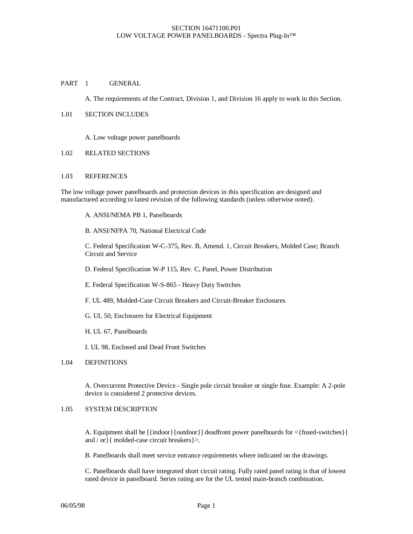### PART 1 GENERAL

A. The requirements of the Contract, Division 1, and Division 16 apply to work in this Section.

#### 1.01 SECTION INCLUDES

A. Low voltage power panelboards

#### 1.02 RELATED SECTIONS

#### 1.03 REFERENCES

The low voltage power panelboards and protection devices in this specification are designed and manufactured according to latest revision of the following standards (unless otherwise noted).

- A. ANSI/NEMA PB 1, Panelboards
- B. ANSI/NFPA 70, National Electrical Code

C. Federal Specification W-C-375, Rev. B, Amend. 1, Circuit Breakers, Molded Case; Branch Circuit and Service

- D. Federal Specification W-P 115, Rev. C, Panel, Power Distribution
- E. Federal Specification W-S-865 Heavy Duty Switches
- F. UL 489, Molded-Case Circuit Breakers and Circuit-Breaker Enclosures
- G. UL 50, Enclosures for Electrical Equipment
- H. UL 67, Panelboards

I. UL 98, Enclosed and Dead Front Switches

#### 1.04 DEFINITIONS

A. Overcurrent Protective Device - Single pole circuit breaker or single fuse. Example: A 2-pole device is considered 2 protective devices.

# 1.05 SYSTEM DESCRIPTION

A. Equipment shall be [{indoor}{outdoor}] deadfront power panelboards for <{fused-switches}{ and / or}{ molded-case circuit breakers}>.

B. Panelboards shall meet service entrance requirements where indicated on the drawings.

C. Panelboards shall have integrated short circuit rating. Fully rated panel rating is that of lowest rated device in panelboard. Series rating are for the UL tested main-branch combination.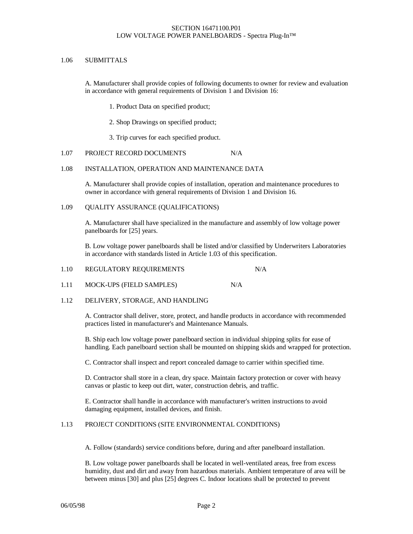### 1.06 SUBMITTALS

A. Manufacturer shall provide copies of following documents to owner for review and evaluation in accordance with general requirements of Division 1 and Division 16:

1. Product Data on specified product;

2. Shop Drawings on specified product;

3. Trip curves for each specified product.

## 1.07 PROJECT RECORD DOCUMENTS N/A

### 1.08 INSTALLATION, OPERATION AND MAINTENANCE DATA

A. Manufacturer shall provide copies of installation, operation and maintenance procedures to owner in accordance with general requirements of Division 1 and Division 16.

### 1.09 QUALITY ASSURANCE (QUALIFICATIONS)

A. Manufacturer shall have specialized in the manufacture and assembly of low voltage power panelboards for [25] years.

B. Low voltage power panelboards shall be listed and/or classified by Underwriters Laboratories in accordance with standards listed in Article 1.03 of this specification.

| 1.10 | REGULATORY REQUIREMENTS | N/A |
|------|-------------------------|-----|
|------|-------------------------|-----|

1.11 MOCK-UPS (FIELD SAMPLES) N/A

## 1.12 DELIVERY, STORAGE, AND HANDLING

A. Contractor shall deliver, store, protect, and handle products in accordance with recommended practices listed in manufacturer's and Maintenance Manuals.

B. Ship each low voltage power panelboard section in individual shipping splits for ease of handling. Each panelboard section shall be mounted on shipping skids and wrapped for protection.

C. Contractor shall inspect and report concealed damage to carrier within specified time.

D. Contractor shall store in a clean, dry space. Maintain factory protection or cover with heavy canvas or plastic to keep out dirt, water, construction debris, and traffic.

E. Contractor shall handle in accordance with manufacturer's written instructions to avoid damaging equipment, installed devices, and finish.

## 1.13 PROJECT CONDITIONS (SITE ENVIRONMENTAL CONDITIONS)

A. Follow (standards) service conditions before, during and after panelboard installation.

B. Low voltage power panelboards shall be located in well-ventilated areas, free from excess humidity, dust and dirt and away from hazardous materials. Ambient temperature of area will be between minus [30] and plus [25] degrees C. Indoor locations shall be protected to prevent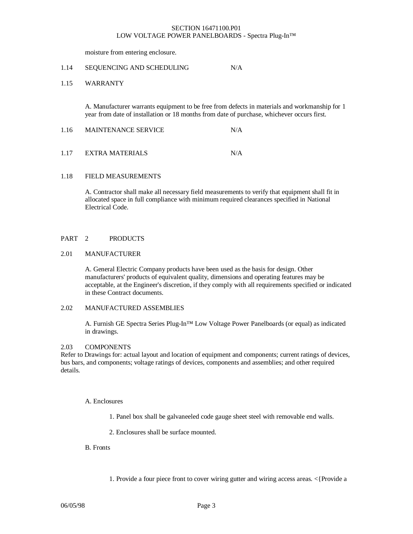moisture from entering enclosure.

#### 1.14 SEQUENCING AND SCHEDULING N/A

## 1.15 WARRANTY

A. Manufacturer warrants equipment to be free from defects in materials and workmanship for 1 year from date of installation or 18 months from date of purchase, whichever occurs first.

| 1.16 | <b>MAINTENANCE SERVICE</b> | N/A |
|------|----------------------------|-----|
|      |                            |     |

## 1.17 EXTRA MATERIALS N/A

#### 1.18 FIELD MEASUREMENTS

A. Contractor shall make all necessary field measurements to verify that equipment shall fit in allocated space in full compliance with minimum required clearances specified in National Electrical Code.

#### PART 2 PRODUCTS

#### 2.01 MANUFACTURER

A. General Electric Company products have been used as the basis for design. Other manufacturers' products of equivalent quality, dimensions and operating features may be acceptable, at the Engineer's discretion, if they comply with all requirements specified or indicated in these Contract documents.

## 2.02 MANUFACTURED ASSEMBLIES

A. Furnish GE Spectra Series Plug-In™ Low Voltage Power Panelboards (or equal) as indicated in drawings.

#### 2.03 COMPONENTS

Refer to Drawings for: actual layout and location of equipment and components; current ratings of devices, bus bars, and components; voltage ratings of devices, components and assemblies; and other required details.

#### A. Enclosures

1. Panel box shall be galvaneeled code gauge sheet steel with removable end walls.

2. Enclosures shall be surface mounted.

#### B. Fronts

1. Provide a four piece front to cover wiring gutter and wiring access areas. <{Provide a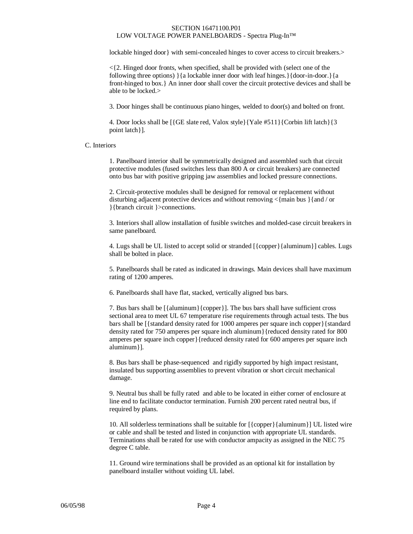lockable hinged door} with semi-concealed hinges to cover access to circuit breakers.>

 $\leq$  {2. Hinged door fronts, when specified, shall be provided with (select one of the following three options) }{a lockable inner door with leaf hinges.}{door-in-door.}{a front-hinged to box.} An inner door shall cover the circuit protective devices and shall be able to be locked.>

3. Door hinges shall be continuous piano hinges, welded to door(s) and bolted on front.

4. Door locks shall be [{GE slate red, Valox style}{Yale #511}{Corbin lift latch}{3 point latch}].

## C. Interiors

1. Panelboard interior shall be symmetrically designed and assembled such that circuit protective modules (fused switches less than 800 A or circuit breakers) are connected onto bus bar with positive gripping jaw assemblies and locked pressure connections.

2. Circuit-protective modules shall be designed for removal or replacement without disturbing adjacent protective devices and without removing  $\langle \text{main bus } \rangle$  {and / or }{branch circuit }>connections.

3. Interiors shall allow installation of fusible switches and molded-case circuit breakers in same panelboard.

4. Lugs shall be UL listed to accept solid or stranded [{copper}{aluminum}] cables. Lugs shall be bolted in place.

5. Panelboards shall be rated as indicated in drawings. Main devices shall have maximum rating of 1200 amperes.

6. Panelboards shall have flat, stacked, vertically aligned bus bars.

7. Bus bars shall be [{aluminum}{copper}]. The bus bars shall have sufficient cross sectional area to meet UL 67 temperature rise requirements through actual tests. The bus bars shall be [{standard density rated for 1000 amperes per square inch copper}{standard density rated for 750 amperes per square inch aluminum}{reduced density rated for 800 amperes per square inch copper}{reduced density rated for 600 amperes per square inch aluminum}].

8. Bus bars shall be phase-sequenced and rigidly supported by high impact resistant, insulated bus supporting assemblies to prevent vibration or short circuit mechanical damage.

9. Neutral bus shall be fully rated and able to be located in either corner of enclosure at line end to facilitate conductor termination. Furnish 200 percent rated neutral bus, if required by plans.

10. All solderless terminations shall be suitable for [{copper}{aluminum}] UL listed wire or cable and shall be tested and listed in conjunction with appropriate UL standards. Terminations shall be rated for use with conductor ampacity as assigned in the NEC 75 degree C table.

11. Ground wire terminations shall be provided as an optional kit for installation by panelboard installer without voiding UL label.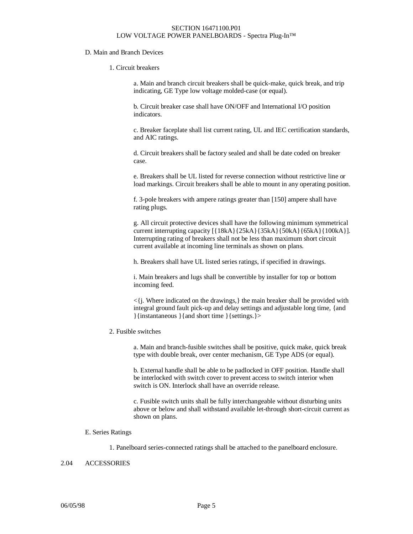### D. Main and Branch Devices

#### 1. Circuit breakers

a. Main and branch circuit breakers shall be quick-make, quick break, and trip indicating, GE Type low voltage molded-case (or equal).

b. Circuit breaker case shall have ON/OFF and International I/O position indicators.

c. Breaker faceplate shall list current rating, UL and IEC certification standards, and AIC ratings.

d. Circuit breakers shall be factory sealed and shall be date coded on breaker case.

e. Breakers shall be UL listed for reverse connection without restrictive line or load markings. Circuit breakers shall be able to mount in any operating position.

f. 3-pole breakers with ampere ratings greater than [150] ampere shall have rating plugs.

g. All circuit protective devices shall have the following minimum symmetrical current interrupting capacity [{18kA}{25kA}{35kA}{50kA}{65kA}{100kA}]. Interrupting rating of breakers shall not be less than maximum short circuit current available at incoming line terminals as shown on plans.

h. Breakers shall have UL listed series ratings, if specified in drawings.

i. Main breakers and lugs shall be convertible by installer for top or bottom incoming feed.

 $\langle i$ . Where indicated on the drawings, the main breaker shall be provided with integral ground fault pick-up and delay settings and adjustable long time, {and }{instantaneous }{and short time }{settings.}>

### 2. Fusible switches

a. Main and branch-fusible switches shall be positive, quick make, quick break type with double break, over center mechanism, GE Type ADS (or equal).

b. External handle shall be able to be padlocked in OFF position. Handle shall be interlocked with switch cover to prevent access to switch interior when switch is ON. Interlock shall have an override release.

c. Fusible switch units shall be fully interchangeable without disturbing units above or below and shall withstand available let-through short-circuit current as shown on plans.

#### E. Series Ratings

1. Panelboard series-connected ratings shall be attached to the panelboard enclosure.

#### 2.04 ACCESSORIES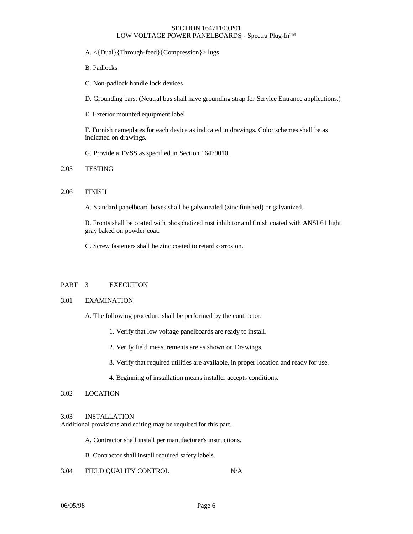A. <{Dual}{Through-feed}{Compression}> lugs

B. Padlocks

C. Non-padlock handle lock devices

D. Grounding bars. (Neutral bus shall have grounding strap for Service Entrance applications.)

E. Exterior mounted equipment label

F. Furnish nameplates for each device as indicated in drawings. Color schemes shall be as indicated on drawings.

G. Provide a TVSS as specified in Section 16479010.

# 2.05 TESTING

### 2.06 FINISH

A. Standard panelboard boxes shall be galvanealed (zinc finished) or galvanized.

B. Fronts shall be coated with phosphatized rust inhibitor and finish coated with ANSI 61 light gray baked on powder coat.

C. Screw fasteners shall be zinc coated to retard corrosion.

## PART 3 EXECUTION

### 3.01 EXAMINATION

- A. The following procedure shall be performed by the contractor.
	- 1. Verify that low voltage panelboards are ready to install.
	- 2. Verify field measurements are as shown on Drawings.
	- 3. Verify that required utilities are available, in proper location and ready for use.
	- 4. Beginning of installation means installer accepts conditions.

## 3.02 LOCATION

#### 3.03 INSTALLATION

Additional provisions and editing may be required for this part.

A. Contractor shall install per manufacturer's instructions.

B. Contractor shall install required safety labels.

3.04 FIELD QUALITY CONTROL N/A